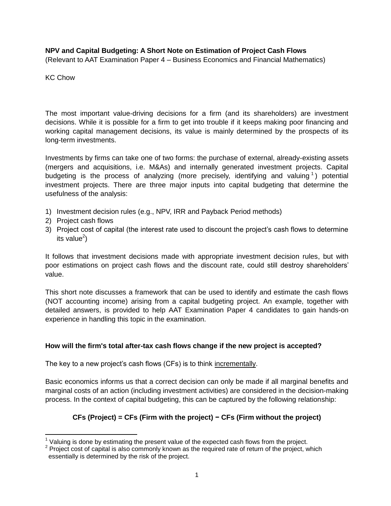## **NPV and Capital Budgeting: A Short Note on Estimation of Project Cash Flows**

(Relevant to AAT Examination Paper 4 – Business Economics and Financial Mathematics)

KC Chow

The most important value-driving decisions for a firm (and its shareholders) are investment decisions. While it is possible for a firm to get into trouble if it keeps making poor financing and working capital management decisions, its value is mainly determined by the prospects of its long-term investments.

Investments by firms can take one of two forms: the purchase of external, already-existing assets (mergers and acquisitions, i.e. M&As) and internally generated investment projects. Capital budgeting is the process of analyzing (more precisely, identifying and valuing  $1$ ) potential investment projects. There are three major inputs into capital budgeting that determine the usefulness of the analysis:

- 1) Investment decision rules (e.g., NPV, IRR and Payback Period methods)
- 2) Project cash flows
- 3) Project cost of capital (the interest rate used to discount the project's cash flows to determine its value<sup>2</sup>)

It follows that investment decisions made with appropriate investment decision rules, but with poor estimations on project cash flows and the discount rate, could still destroy shareholders' value.

This short note discusses a framework that can be used to identify and estimate the cash flows (NOT accounting income) arising from a capital budgeting project. An example, together with detailed answers, is provided to help AAT Examination Paper 4 candidates to gain hands-on experience in handling this topic in the examination.

## **How will the firm's total after-tax cash flows change if the new project is accepted?**

The key to a new project's cash flows (CFs) is to think incrementally.

Basic economics informs us that a correct decision can only be made if all marginal benefits and marginal costs of an action (including investment activities) are considered in the decision-making process. In the context of capital budgeting, this can be captured by the following relationship:

# **CFs (Project) = CFs (Firm with the project) − CFs (Firm without the project)**

 $\overline{\phantom{a}}$  $1$  Valuing is done by estimating the present value of the expected cash flows from the project.

 $2$  Project cost of capital is also commonly known as the required rate of return of the project, which essentially is determined by the risk of the project.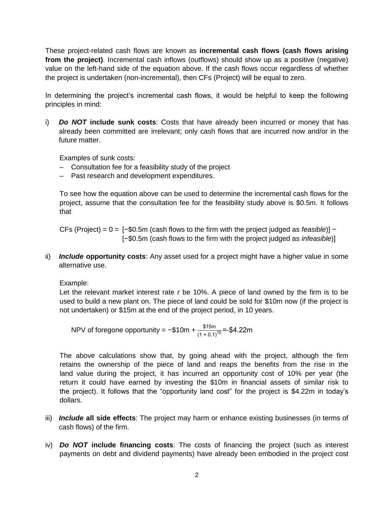These project-related cash flows are known as **incremental cash flows (cash flows arising from the project)**. Incremental cash inflows (outflows) should show up as a positive (negative) value on the left-hand side of the equation above. If the cash flows occur regardless of whether the project is undertaken (non-incremental), then CFs (Project) will be equal to zero.

In determining the project's incremental cash flows, it would be helpful to keep the following principles in mind:

i) *Do NOT* **include sunk costs**: Costs that have already been incurred or money that has already been committed are irrelevant; only cash flows that are incurred now and/or in the future matter.

Examples of sunk costs:

- Consultation fee for a feasibility study of the project
- Past research and development expenditures.

To see how the equation above can be used to determine the incremental cash flows for the project, assume that the consultation fee for the feasibility study above is \$0.5m. It follows that

CFs (Project) = 0 = [−\$0.5m (cash flows to the firm with the project judged as *feasible*)] − [−\$0.5m (cash flows to the firm with the project judged as *infeasible*)]

ii) *Include* **opportunity costs**: Any asset used for a project might have a higher value in some alternative use.

Example:

Let the relevant market interest rate *r* be 10%. A piece of land owned by the firm is to be used to build a new plant on. The piece of land could be sold for \$10m now (if the project is not undertaken) or \$15m at the end of the project period, in 10 years.

NPV of foregone opportunity =  $-\$10m + \frac{\$15m}{(1 + 0.1)^{10}} = -\$4.22m$ 

The above calculations show that, by going ahead with the project, although the firm retains the ownership of the piece of land and reaps the benefits from the rise in the land value during the project, it has incurred an opportunity cost of 10% per year (the return it could have earned by investing the \$10m in financial assets of similar risk to the project). It follows that the "opportunity land cost" for the project is \$4.22m in today's dollars.

- iii) *Include* **all side effects**: The project may harm or enhance existing businesses (in terms of cash flows) of the firm.
- iv) *Do NOT* **include financing costs**: The costs of financing the project (such as interest payments on debt and dividend payments) have already been embodied in the project cost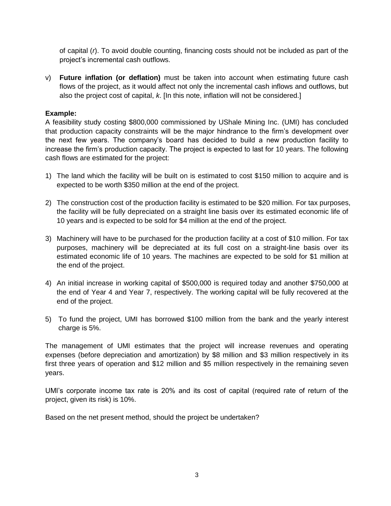of capital (*r*). To avoid double counting, financing costs should not be included as part of the project's incremental cash outflows.

v) **Future inflation (or deflation)** must be taken into account when estimating future cash flows of the project, as it would affect not only the incremental cash inflows and outflows, but also the project cost of capital, *k*. [In this note, inflation will not be considered.]

## **Example:**

A feasibility study costing \$800,000 commissioned by UShale Mining Inc. (UMI) has concluded that production capacity constraints will be the major hindrance to the firm's development over the next few years The company's board has decided to build a new production facility to increase the firm's production capacity. The project is expected to last for 10 years. The following cash flows are estimated for the project:

- 1) The land which the facility will be built on is estimated to cost \$150 million to acquire and is expected to be worth \$350 million at the end of the project.
- 2) The construction cost of the production facility is estimated to be \$20 million. For tax purposes, the facility will be fully depreciated on a straight line basis over its estimated economic life of 10 years and is expected to be sold for \$4 million at the end of the project.
- 3) Machinery will have to be purchased for the production facility at a cost of \$10 million. For tax purposes, machinery will be depreciated at its full cost on a straight-line basis over its estimated economic life of 10 years. The machines are expected to be sold for \$1 million at the end of the project.
- 4) An initial increase in working capital of \$500,000 is required today and another \$750,000 at the end of Year 4 and Year 7, respectively. The working capital will be fully recovered at the end of the project.
- 5) To fund the project, UMI has borrowed \$100 million from the bank and the yearly interest charge is 5%.

The management of UMI estimates that the project will increase revenues and operating expenses (before depreciation and amortization) by \$8 million and \$3 million respectively in its first three years of operation and \$12 million and \$5 million respectively in the remaining seven years.

UMI's corporate income tax rate is 20% and its cost of capital (required rate of return of the project, given its risk) is 10%.

Based on the net present method, should the project be undertaken?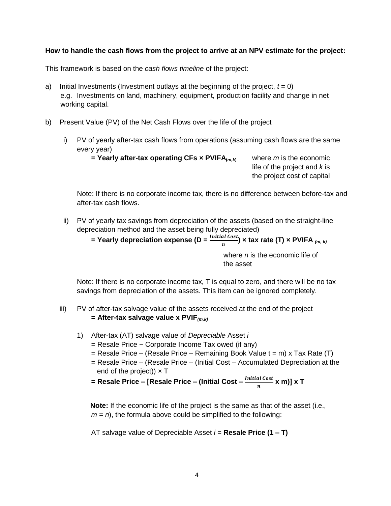### **How to handle the cash flows from the project to arrive at an NPV estimate for the project:**

This framework is based on the *cash flows timeline* of the project:

- a) Initial Investments (Investment outlays at the beginning of the project,  $t = 0$ ) e.g. Investments on land, machinery, equipment, production facility and change in net working capital.
- b) Present Value (PV) of the Net Cash Flows over the life of the project
	- i) PV of yearly after-tax cash flows from operations (assuming cash flows are the same every year)
		- **= Yearly after-tax operating CFs × PVIFA(***m,k***)** where *m* is the economic

life of the project and *k* is the project cost of capital

Note: If there is no corporate income tax, there is no difference between before-tax and after-tax cash flows.

ii) PV of yearly tax savings from depreciation of the assets (based on the straight-line depreciation method and the asset being fully depreciated)

**= Yearly depreciation expense (D = ) × tax rate (T) × PVIFA** *(m, k)*

where *n* is the economic life of the asset

Note: If there is no corporate income tax, T is equal to zero, and there will be no tax savings from depreciation of the assets. This item can be ignored completely.

- iii) PV of after-tax salvage value of the assets received at the end of the project **= After-tax salvage value x PVIF***(m,k)*
	- 1) After-tax (AT) salvage value of *Depreciable* Asset *i*
		- = Resale Price − Corporate Income Tax owed (if any)
		- $=$  Resale Price (Resale Price Remaining Book Value  $t = m$ ) x Tax Rate (T)
		- = Resale Price (Resale Price (Initial Cost Accumulated Depreciation at the end of the project))  $\times$  T
		- **= Resale Price – [Resale Price – (Initial Cost –**  $\frac{u \cos \theta}{n}$  x m)] x T

**Note:** If the economic life of the project is the same as that of the asset (i.e.,  $m = n$ , the formula above could be simplified to the following:

AT salvage value of Depreciable Asset *i* = **Resale Price (1 – T)**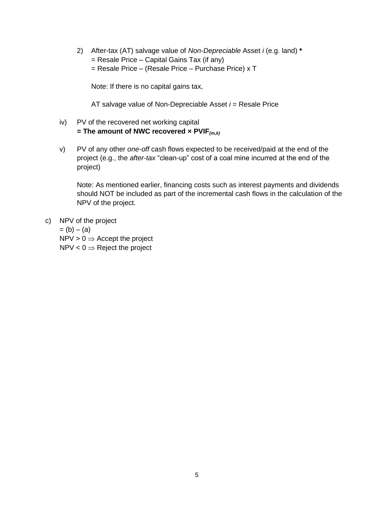- 2) After-tax (AT) salvage value of *Non-Depreciable* Asset *i* (e.g. land) **\***
	- = Resale Price Capital Gains Tax (if any)
	- = Resale Price (Resale Price Purchase Price) x T

Note: If there is no capital gains tax,

AT salvage value of Non-Depreciable Asset *i* = Resale Price

## iv) PV of the recovered net working capital **= The amount of NWC recovered × PVIF***(m,k)*

v) PV of any other *one-off* cash flows expected to be received/paid at the end of the project (e.g., the *after-tax* "clean-up" cost of a coal mine incurred at the end of the project)

Note: As mentioned earlier, financing costs such as interest payments and dividends should NOT be included as part of the incremental cash flows in the calculation of the NPV of the project.

c) NPV of the project  $=$  (b)  $-$  (a)  $NPV > 0 \Rightarrow$  Accept the project  $NPV < 0 \Rightarrow$  Reject the project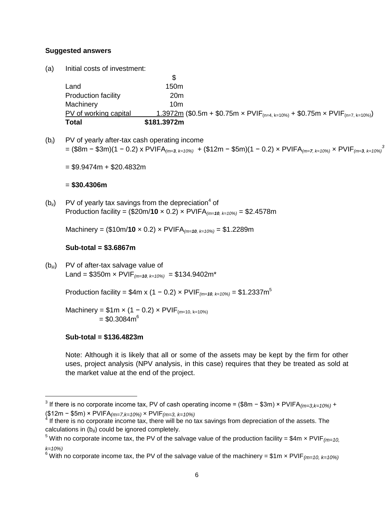#### **Suggested answers**

(a) Initial costs of investment:

| Total                      | \$181.3972m                                                                                                |
|----------------------------|------------------------------------------------------------------------------------------------------------|
| PV of working capital      | <u>1.3972m</u> (\$0.5m + \$0.75m x PVIF <sub>(n=4, k=10%)</sub> + \$0.75m x PVIF <sub>(n=7, k=10%)</sub> ) |
| Machinery                  | 10m                                                                                                        |
| <b>Production facility</b> | 20m                                                                                                        |
| Land                       | 150 <sub>m</sub>                                                                                           |
|                            |                                                                                                            |

- (b*i*) PV of yearly after-tax cash operating income = (\$8m − \$3m)(1 − 0.2) x PVIFA*(m=3, k=10%)* + (\$12m − \$5m)(1 − 0.2) × PVIFA*(m=7, k=10%)* × PVIF*(m=3, k=10%) 3*
	- $=$  \$9.9474m + \$20.4832m

#### = **\$30.4306m**

 $(b_{ii})$  PV of yearly tax savings from the depreciation<sup>4</sup> of Production facility =  $(\$20m/10 \times 0.2) \times PVIFA_{(m=10 \text{ kg}+10\%)} = \$2.4578m$ 

Machinery = (\$10m/**10** × 0.2) × PVIFA*(m=10, k=10%)* = \$1.2289m

#### **Sub-total = \$3.6867m**

(b*iii*) PV of after-tax salvage value of Land = \$350m × PVIF*(m=10, k=10%)* = \$134.9402m\*

Production facility = \$4m x (1 − 0.2) × PVIF*(m=10, k=10%)* = \$1.2337m<sup>5</sup>

Machinery = \$1m × (1 − 0.2) × PVIF(*m*=10, k=10%)  $=$  \$0.3084 $m^6$ 

#### **Sub-total = \$136.4823m**

 $\overline{\phantom{a}}$ 

Note: Although it is likely that all or some of the assets may be kept by the firm for other uses, project analysis (NPV analysis, in this case) requires that they be treated as sold at the market value at the end of the project.

<sup>&</sup>lt;sup>3</sup> If there is no corporate income tax, PV of cash operating income = (\$8m − \$3m) × PVIFA<sub>(m=3,k=10%)</sub> + ( m − m) × PVIFA*(m=7,k=10%)* × PVIF*(m=3, k=10%)*

 $4$  If there is no corporate income tax, there will be no tax savings from depreciation of the assets. The calculations in (b*ii*) could be ignored completely.

<sup>&</sup>lt;sup>5</sup> With no corporate income tax, the PV of the salvage value of the production facility = \$4m  $\times$  PVIF<sub>(m=10,</sub> *k=10%)*

<sup>&</sup>lt;sup>6</sup> With no corporate income tax, the PV of the salvage value of the machinery = \$1m x PVIF  $(m=10, k=10\%)$